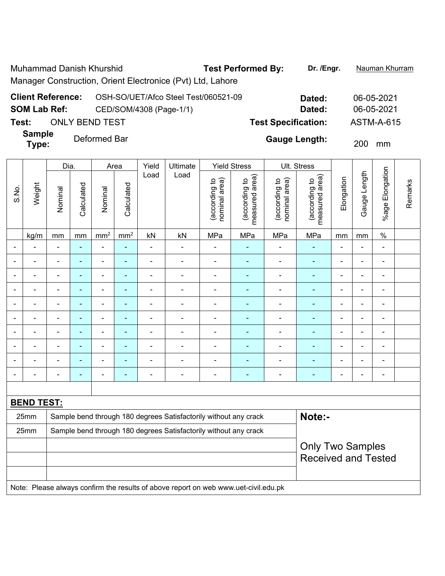Muhammad Danish Khurshid **Test Performed By: Dr. /Engr.** Nauman Khurram Manager Construction, Orient Electronice (Pvt) Ltd, Lahore

| <b>Client Reference:</b> | OSH-SO/UET/Afco Steel Test/060521-09 | Dated:                     | 06-05-2021        |
|--------------------------|--------------------------------------|----------------------------|-------------------|
| <b>SOM Lab Ref:</b>      | CED/SOM/4308 (Page-1/1)              | Dated:                     | 06-05-2021        |
| Test:                    | <b>ONLY BEND TEST</b>                | <b>Test Specification:</b> | <b>ASTM-A-615</b> |
| <b>Sample</b><br>Type:   | Deformed Bar                         | <b>Gauge Length:</b>       | 200<br>mm         |

|                          |                                                                                     | Dia.           |                |                 | Area                                                                                                                                               | Yield          | Ultimate                                                         |                                | <b>Yield Stress</b>             |                                | Ult. Stress                     |                          |                |                          |         |
|--------------------------|-------------------------------------------------------------------------------------|----------------|----------------|-----------------|----------------------------------------------------------------------------------------------------------------------------------------------------|----------------|------------------------------------------------------------------|--------------------------------|---------------------------------|--------------------------------|---------------------------------|--------------------------|----------------|--------------------------|---------|
| S.No.                    | Weight                                                                              | Nominal        | Calculated     | Nominal         | Calculated                                                                                                                                         | Load           | Load                                                             | nominal area)<br>(according to | measured area)<br>(according to | nominal area)<br>(according to | measured area)<br>(according to | Elongation               | Gauge Length   | %age Elongation          | Remarks |
|                          | kg/m                                                                                | mm             | mm             | mm <sup>2</sup> | mm <sup>2</sup>                                                                                                                                    | kN             | kN                                                               | MPa                            | MPa                             | MPa                            | MPa                             | mm                       | mm             | $\%$                     |         |
|                          |                                                                                     |                |                |                 |                                                                                                                                                    | $\blacksquare$ |                                                                  | $\blacksquare$                 |                                 | $\blacksquare$                 | ä,                              |                          | $\blacksquare$ | $\blacksquare$           |         |
|                          |                                                                                     |                | ۳              |                 | $\blacksquare$                                                                                                                                     | ۰              |                                                                  | $\blacksquare$                 | $\blacksquare$                  | $\overline{\phantom{0}}$       | ÷                               |                          | $\blacksquare$ | $\blacksquare$           |         |
|                          |                                                                                     |                | ۳              | $\blacksquare$  |                                                                                                                                                    |                |                                                                  |                                |                                 | $\blacksquare$                 |                                 |                          |                | ٠                        |         |
|                          |                                                                                     | Ē,             | $\blacksquare$ | -               | Ē,                                                                                                                                                 | $\blacksquare$ | $\blacksquare$                                                   | $\blacksquare$                 | ÷,                              |                                | ÷                               | $\blacksquare$           | $\blacksquare$ | $\overline{\phantom{a}}$ |         |
| $\overline{\phantom{0}}$ | $\blacksquare$                                                                      | $\blacksquare$ | $\blacksquare$ | $\blacksquare$  | $\blacksquare$                                                                                                                                     | ۰              | $\blacksquare$                                                   | $\blacksquare$                 | $\overline{\phantom{a}}$        | $\blacksquare$                 | ÷                               | $\overline{a}$           | $\blacksquare$ | $\blacksquare$           |         |
|                          |                                                                                     | $\blacksquare$ | ٠              | $\blacksquare$  | $\blacksquare$<br>$\blacksquare$<br>$\blacksquare$<br>÷,<br>$\blacksquare$<br>٠                                                                    |                |                                                                  |                                |                                 |                                |                                 |                          | $\blacksquare$ | $\blacksquare$           |         |
|                          |                                                                                     | $\blacksquare$ | $\blacksquare$ | $\blacksquare$  | ä,<br>$\blacksquare$<br>$\blacksquare$<br>$\blacksquare$<br>$\blacksquare$<br>$\blacksquare$<br>$\blacksquare$<br>$\blacksquare$<br>$\blacksquare$ |                |                                                                  |                                |                                 |                                |                                 |                          |                | $\blacksquare$           |         |
|                          |                                                                                     |                | ۳              | ä,              | ۰                                                                                                                                                  | $\blacksquare$ |                                                                  |                                |                                 | ä,                             | $\blacksquare$                  |                          |                | $\blacksquare$           |         |
|                          |                                                                                     |                | ۳              | $\blacksquare$  |                                                                                                                                                    |                |                                                                  |                                |                                 | $\blacksquare$                 | $\blacksquare$                  |                          |                | ÷,                       |         |
|                          |                                                                                     | $\blacksquare$ | ٠              | $\blacksquare$  | ۰                                                                                                                                                  |                |                                                                  | $\blacksquare$                 | $\blacksquare$                  | $\blacksquare$                 | $\blacksquare$                  | $\overline{\phantom{0}}$ | $\blacksquare$ | $\blacksquare$           |         |
|                          |                                                                                     |                |                |                 |                                                                                                                                                    |                |                                                                  |                                |                                 |                                |                                 |                          |                |                          |         |
|                          | <b>BEND TEST:</b>                                                                   |                |                |                 |                                                                                                                                                    |                |                                                                  |                                |                                 |                                |                                 |                          |                |                          |         |
|                          | 25mm                                                                                |                |                |                 |                                                                                                                                                    |                | Sample bend through 180 degrees Satisfactorily without any crack |                                |                                 |                                | Note:-                          |                          |                |                          |         |
|                          | 25mm                                                                                |                |                |                 |                                                                                                                                                    |                | Sample bend through 180 degrees Satisfactorily without any crack |                                |                                 |                                |                                 |                          |                |                          |         |
|                          |                                                                                     |                |                |                 |                                                                                                                                                    |                |                                                                  |                                |                                 |                                | <b>Only Two Samples</b>         |                          |                |                          |         |
|                          |                                                                                     |                |                |                 |                                                                                                                                                    |                |                                                                  |                                |                                 |                                | <b>Received and Tested</b>      |                          |                |                          |         |
|                          |                                                                                     |                |                |                 |                                                                                                                                                    |                |                                                                  |                                |                                 |                                |                                 |                          |                |                          |         |
|                          | Note: Please always confirm the results of above report on web www.uet-civil.edu.pk |                |                |                 |                                                                                                                                                    |                |                                                                  |                                |                                 |                                |                                 |                          |                |                          |         |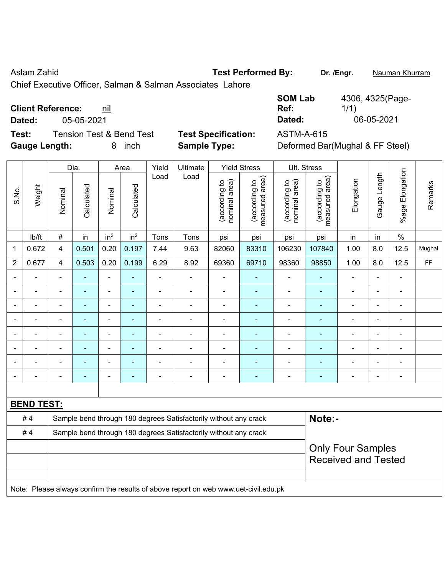Aslam Zahid **Test Performed By:** Dr. /Engr. **Nauman Khurram** 

Chief Executive Officer, Salman & Salman Associates Lahore

**Client Reference: nil** 

**Dated:** 05-05-2021 **Dated:** 06-05-2021

**Test:** Tension Test & Bend Test **Test Specification:** ASTM-A-615 **Gauge Length:** 8 inch **Sample Type:** Deformed Bar(Mughal & FF Steel)

| <b>SOM Lab</b> | 4306, 4325(Page- |
|----------------|------------------|
| Ref:           | 1/1)             |
| Dated:         | 06-05-2021       |

|                |                                                                                     |                | Dia.                     |                 | Area                     | Yield                        | Ultimate                                                         |                                | <b>Yield Stress</b>             |                                | Ult. Stress                     |                            |                          |                          |                     |
|----------------|-------------------------------------------------------------------------------------|----------------|--------------------------|-----------------|--------------------------|------------------------------|------------------------------------------------------------------|--------------------------------|---------------------------------|--------------------------------|---------------------------------|----------------------------|--------------------------|--------------------------|---------------------|
| S.No.          | Weight                                                                              | Nominal        | Calculated               | Nominal         | Calculated               | Load                         | Load                                                             | nominal area)<br>(according to | (according to<br>measured area) | (according to<br>nominal area) | (according to<br>measured area) | Elongation                 | Gauge Length             | Elongation<br>$%$ age    | Remarks             |
|                | lb/ft                                                                               | $\#$           | in                       | in <sup>2</sup> | in <sup>2</sup>          | Tons                         | Tons                                                             | psi                            | psi                             | psi                            | psi                             | in                         | in                       | $\%$                     |                     |
| 1              | 0.672                                                                               | $\overline{4}$ | 0.501                    | 0.20            | 0.197                    | 7.44                         | 9.63                                                             | 82060                          | 83310                           | 106230                         | 107840                          | 1.00                       | 8.0                      | 12.5                     | Mughal              |
| $\overline{2}$ | 0.677                                                                               | 4              | 0.503                    | 0.20            | 0.199                    | 6.29                         | 8.92                                                             | 69360                          | 69710                           | 98360                          | 98850                           | 1.00                       | 8.0                      | 12.5                     | $\mathsf{FF}% _{0}$ |
| $\blacksquare$ | $\blacksquare$                                                                      | $\blacksquare$ | $\blacksquare$           | $\blacksquare$  | $\blacksquare$           | $\qquad \qquad \blacksquare$ | $\overline{\phantom{a}}$                                         | $\overline{\phantom{a}}$       | ÷,                              | $\blacksquare$                 | $\blacksquare$                  | ÷,                         | $\blacksquare$           | ÷,                       |                     |
| $\blacksquare$ | $\blacksquare$                                                                      | $\blacksquare$ | $\blacksquare$           | $\blacksquare$  | $\blacksquare$           | $\blacksquare$               | $\overline{\phantom{a}}$                                         | $\qquad \qquad \blacksquare$   | ÷,                              | $\blacksquare$                 | $\blacksquare$                  | $\overline{\phantom{a}}$   | $\overline{\phantom{a}}$ | $\blacksquare$           |                     |
|                | $\blacksquare$                                                                      | $\blacksquare$ | $\blacksquare$           | $\blacksquare$  | ٠                        | $\frac{1}{2}$                | $\blacksquare$                                                   | $\overline{\phantom{a}}$       | ÷,                              | $\blacksquare$                 | $\blacksquare$                  | $\blacksquare$             | $\blacksquare$           | $\overline{\phantom{0}}$ |                     |
|                |                                                                                     | $\blacksquare$ | ÷,                       | $\blacksquare$  | ä,                       | $\overline{\phantom{a}}$     | $\blacksquare$                                                   | $\blacksquare$                 | $\blacksquare$                  | $\blacksquare$                 | $\blacksquare$                  | ä,                         | $\blacksquare$           | $\blacksquare$           |                     |
|                |                                                                                     |                | $\blacksquare$           | ۳               | $\overline{\phantom{0}}$ | $\blacksquare$               |                                                                  | ä,                             | $\blacksquare$                  | $\blacksquare$                 | $\overline{\phantom{0}}$        | $\overline{a}$             | $\blacksquare$           | ÷,                       |                     |
|                |                                                                                     | $\blacksquare$ | $\blacksquare$           |                 | $\blacksquare$           | $\blacksquare$               |                                                                  | ä,                             | $\blacksquare$                  | $\blacksquare$                 | ۳                               | Ē,                         | $\blacksquare$           | $\blacksquare$           |                     |
| ۰              |                                                                                     | $\blacksquare$ | $\blacksquare$           | ٠               | $\blacksquare$           | $\overline{a}$               | $\blacksquare$                                                   | -                              | $\blacksquare$                  | $\overline{\phantom{a}}$       | $\blacksquare$                  | -                          | $\overline{\phantom{a}}$ | $\overline{\phantom{0}}$ |                     |
| ۰              | $\blacksquare$                                                                      | Ē,             | $\overline{\phantom{a}}$ | ۰               | $\blacksquare$           | $\overline{\phantom{a}}$     | $\blacksquare$                                                   | $\blacksquare$                 | $\blacksquare$                  | $\blacksquare$                 | ٠                               | $\blacksquare$             | $\overline{\phantom{a}}$ | ÷,                       |                     |
|                |                                                                                     |                |                          |                 |                          |                              |                                                                  |                                |                                 |                                |                                 |                            |                          |                          |                     |
|                | <b>BEND TEST:</b>                                                                   |                |                          |                 |                          |                              |                                                                  |                                |                                 |                                |                                 |                            |                          |                          |                     |
|                | #4                                                                                  |                |                          |                 |                          |                              | Sample bend through 180 degrees Satisfactorily without any crack |                                |                                 |                                | Note:-                          |                            |                          |                          |                     |
|                | #4                                                                                  |                |                          |                 |                          |                              | Sample bend through 180 degrees Satisfactorily without any crack |                                |                                 |                                |                                 |                            |                          |                          |                     |
|                |                                                                                     |                |                          |                 |                          |                              |                                                                  |                                |                                 |                                |                                 | <b>Only Four Samples</b>   |                          |                          |                     |
|                |                                                                                     |                |                          |                 |                          |                              |                                                                  |                                |                                 |                                |                                 | <b>Received and Tested</b> |                          |                          |                     |
|                |                                                                                     |                |                          |                 |                          |                              |                                                                  |                                |                                 |                                |                                 |                            |                          |                          |                     |
|                | Note: Please always confirm the results of above report on web www.uet-civil.edu.pk |                |                          |                 |                          |                              |                                                                  |                                |                                 |                                |                                 |                            |                          |                          |                     |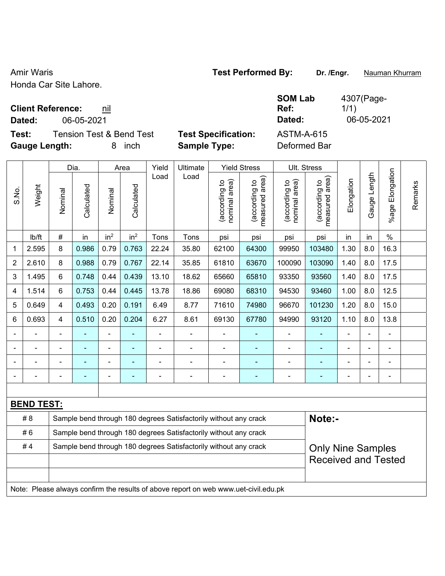Amir Waris **Test Performed By:** Dr. /Engr. **Nauman Khurram** 

**SOM Lab Ref:** 

4307(Page-

Honda Car Site Lahore.

# **Client Reference: nil**

**Dated:** 06-05-2021 **Dated:** 06-05-2021

**Test:** Tension Test & Bend Test **Test Specification:** ASTM-A-615 **Gauge Length:** 8 inch **Sample Type:** Deformed Bar

1/1)

|                |                   |                                                                  | Dia.       |                 | Area            | Yield | Ultimate                                                         |                                | <b>Yield Stress</b>                | Ult. Stress                    |                                 |                |              |                       |         |
|----------------|-------------------|------------------------------------------------------------------|------------|-----------------|-----------------|-------|------------------------------------------------------------------|--------------------------------|------------------------------------|--------------------------------|---------------------------------|----------------|--------------|-----------------------|---------|
| S.No.          | Weight            | Nominal                                                          | Calculated | Nominal         | Calculated      | Load  | Load                                                             | nominal area)<br>(according to | area)<br>(according to<br>measured | nominal area)<br>(according to | (according to<br>measured area) | Elongation     | Gauge Length | Elongation<br>$%$ age | Remarks |
|                | lb/ft             | $\#$                                                             | in         | in <sup>2</sup> | in <sup>2</sup> | Tons  | Tons                                                             | psi                            | psi                                | psi                            | psi                             | in             | in           | $\%$                  |         |
| 1              | 2.595             | 8                                                                | 0.986      | 0.79            | 0.763           | 22.24 | 35.80                                                            | 62100                          | 64300                              | 99950                          | 103480                          | 1.30           | 8.0          | 16.3                  |         |
| $\overline{2}$ | 2.610             | 8                                                                | 0.988      | 0.79            | 0.767           | 22.14 | 35.85                                                            | 61810                          | 63670                              | 100090                         | 103090                          | 1.40           | 8.0          | 17.5                  |         |
| 3              | 1.495             | 6                                                                | 0.748      | 0.44            | 0.439           | 13.10 | 18.62                                                            | 65660                          | 65810                              | 93350                          | 93560                           | 1.40           | 8.0          | 17.5                  |         |
| 4              | 1.514             | 6                                                                | 0.753      | 0.44            | 0.445           | 13.78 | 18.86                                                            | 69080                          | 68310                              | 94530                          | 93460                           | 1.00           | 8.0          | 12.5                  |         |
| 5              | 0.649             | $\overline{4}$                                                   | 0.493      | 0.20            | 0.191           | 6.49  | 8.77                                                             | 71610                          | 74980                              | 96670                          | 101230                          | 1.20           | 8.0          | 15.0                  |         |
| 6              | 0.693             | 4                                                                | 0.510      | 0.20            | 0.204           | 6.27  | 8.61                                                             | 69130                          | 67780                              | 94990                          | 93120                           | 1.10           | 8.0          | 13.8                  |         |
|                |                   |                                                                  |            |                 |                 |       |                                                                  |                                |                                    | $\blacksquare$                 |                                 |                |              |                       |         |
|                |                   | ٠                                                                |            | ÷               |                 |       | ÷                                                                |                                |                                    | $\blacksquare$                 | ۳                               |                |              |                       |         |
|                |                   | Ē,                                                               |            | ÷               | ۰               |       |                                                                  |                                |                                    | $\blacksquare$                 | -                               | $\blacksquare$ |              | $\overline{a}$        |         |
|                |                   | $\blacksquare$                                                   |            | $\blacksquare$  | ۰               |       | $\blacksquare$                                                   |                                | $\overline{\phantom{a}}$           | $\blacksquare$                 | $\blacksquare$                  | $\blacksquare$ |              | $\overline{a}$        |         |
|                |                   |                                                                  |            |                 |                 |       |                                                                  |                                |                                    |                                |                                 |                |              |                       |         |
|                | <b>BEND TEST:</b> |                                                                  |            |                 |                 |       |                                                                  |                                |                                    |                                |                                 |                |              |                       |         |
|                | #8                | Sample bend through 180 degrees Satisfactorily without any crack |            |                 |                 |       |                                                                  |                                |                                    |                                | Note:-                          |                |              |                       |         |
|                | #6                |                                                                  |            |                 |                 |       | Sample bend through 180 degrees Satisfactorily without any crack |                                |                                    |                                |                                 |                |              |                       |         |
|                | #4                |                                                                  |            |                 |                 |       | Sample bend through 180 degrees Satisfactorily without any crack |                                |                                    |                                | <b>Only Nine Samples</b>        |                |              |                       |         |
|                |                   |                                                                  |            |                 |                 |       |                                                                  |                                |                                    |                                | <b>Received and Tested</b>      |                |              |                       |         |
|                |                   |                                                                  |            |                 |                 |       |                                                                  |                                |                                    |                                |                                 |                |              |                       |         |
|                |                   |                                                                  |            |                 |                 |       |                                                                  |                                |                                    |                                |                                 |                |              |                       |         |

Note: Please always confirm the results of above report on web www.uet-civil.edu.pk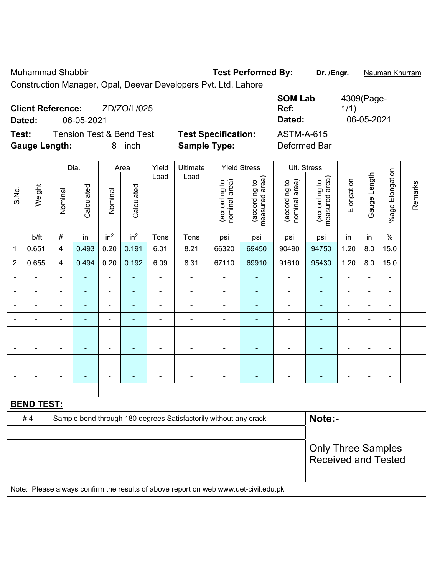Muhammad Shabbir **Test Performed By: Dr. /Engr.** Nauman Khurram

Construction Manager, Opal, Deevar Developers Pvt. Ltd. Lahore

| <b>Client Reference:</b>                     | ZD/ZO/L/025       |                            | <b>SOM Lab</b><br>Ref: | 4309(Page-<br>1/1) |
|----------------------------------------------|-------------------|----------------------------|------------------------|--------------------|
| 06-05-2021<br>Dated:                         |                   |                            | Dated:                 | 06-05-2021         |
| Test:<br><b>Tension Test &amp; Bend Test</b> |                   | <b>Test Specification:</b> | <b>ASTM-A-615</b>      |                    |
| <b>Gauge Length:</b>                         | <i>inch</i><br>8. | <b>Sample Type:</b>        | Deformed Bar           |                    |

|                          |                   |                         | Dia.           |                              | Area                     | Yield                    | Ultimate                                                                            |                                | <b>Yield Stress</b>             |                                | Ult. Stress                     |                |                |                              |         |
|--------------------------|-------------------|-------------------------|----------------|------------------------------|--------------------------|--------------------------|-------------------------------------------------------------------------------------|--------------------------------|---------------------------------|--------------------------------|---------------------------------|----------------|----------------|------------------------------|---------|
| S.No.                    | Weight            | Nominal                 | Calculated     | Nominal                      | Calculated               | Load                     | Load                                                                                | nominal area)<br>(according to | (according to<br>measured area) | nominal area)<br>(according to | (according to<br>measured area) | Elongation     | Gauge Length   | %age Elongation              | Remarks |
|                          | lb/ft             | $\#$                    | in             | in <sup>2</sup>              | in <sup>2</sup>          | Tons                     | Tons                                                                                | psi                            | psi                             | psi                            | psi                             | in             | in             | $\%$                         |         |
| $\mathbf 1$              | 0.651             | $\overline{\mathbf{4}}$ | 0.493          | 0.20                         | 0.191                    | 6.01                     | 8.21                                                                                | 66320                          | 69450                           | 90490                          | 94750                           | 1.20           | 8.0            | 15.0                         |         |
| $\overline{2}$           | 0.655             | $\overline{\mathbf{4}}$ | 0.494          | 0.20                         | 0.192                    | 6.09                     | 8.31                                                                                | 67110                          | 69910                           | 91610                          | 95430                           | 1.20           | 8.0            | 15.0                         |         |
| $\blacksquare$           | $\blacksquare$    |                         |                | ä,                           | $\blacksquare$           | $\blacksquare$           | ÷                                                                                   | ä,                             | $\overline{\phantom{a}}$        | $\qquad \qquad \blacksquare$   | $\blacksquare$                  | $\blacksquare$ | $\blacksquare$ | $\blacksquare$               |         |
| ÷,                       | ÷,                | $\blacksquare$          | ÷              | $\qquad \qquad \blacksquare$ | $\blacksquare$           | $\overline{\phantom{a}}$ | $\overline{\phantom{a}}$                                                            | $\blacksquare$                 | $\blacksquare$                  | $\blacksquare$                 | $\blacksquare$                  | $\blacksquare$ | $\blacksquare$ | $\qquad \qquad \blacksquare$ |         |
| ٠                        | $\blacksquare$    | $\blacksquare$          | ۰              | $\qquad \qquad \blacksquare$ | ٠                        | $\overline{\phantom{a}}$ | ÷,                                                                                  | $\blacksquare$                 | $\overline{\phantom{a}}$        | $\qquad \qquad \blacksquare$   | $\blacksquare$                  | $\blacksquare$ | $\blacksquare$ | $\overline{\phantom{a}}$     |         |
|                          | ÷                 | Ē,                      | ÷,             | $\blacksquare$               | ٠                        | $\blacksquare$           | ä,                                                                                  | $\blacksquare$                 | $\overline{\phantom{a}}$        | $\blacksquare$                 | $\blacksquare$                  | Ē,             | $\blacksquare$ | $\blacksquare$               |         |
| Ē,                       | ä,                | $\blacksquare$          | ÷,             | $\blacksquare$               | $\blacksquare$           | $\blacksquare$           | ÷,                                                                                  | $\blacksquare$                 | $\blacksquare$                  | $\blacksquare$                 | $\blacksquare$                  | $\blacksquare$ | $\blacksquare$ | ÷,                           |         |
|                          |                   |                         | $\blacksquare$ | ÷                            |                          | $\blacksquare$           | $\blacksquare$                                                                      |                                | $\overline{\phantom{a}}$        | $\overline{a}$                 | $\blacksquare$                  |                |                | $\blacksquare$               |         |
|                          |                   |                         |                | -                            |                          | ä,                       | ÷                                                                                   |                                |                                 | ÷                              |                                 |                |                | Ē,                           |         |
| $\overline{\phantom{0}}$ | $\blacksquare$    | $\blacksquare$          | ۰              | $\overline{\phantom{0}}$     | $\overline{\phantom{0}}$ | $\overline{\phantom{0}}$ | $\overline{a}$                                                                      | $\blacksquare$                 | $\overline{\phantom{a}}$        | $\blacksquare$                 | $\blacksquare$                  | $\blacksquare$ | $\blacksquare$ | $\overline{\phantom{a}}$     |         |
|                          |                   |                         |                |                              |                          |                          |                                                                                     |                                |                                 |                                |                                 |                |                |                              |         |
|                          | <b>BEND TEST:</b> |                         |                |                              |                          |                          |                                                                                     |                                |                                 |                                |                                 |                |                |                              |         |
|                          | #4                |                         |                |                              |                          |                          | Sample bend through 180 degrees Satisfactorily without any crack                    |                                |                                 |                                | Note:-                          |                |                |                              |         |
|                          |                   |                         |                |                              |                          |                          |                                                                                     |                                |                                 |                                |                                 |                |                |                              |         |
|                          |                   |                         |                |                              |                          |                          |                                                                                     |                                |                                 |                                | <b>Only Three Samples</b>       |                |                |                              |         |
|                          |                   |                         |                |                              |                          |                          |                                                                                     |                                |                                 |                                | <b>Received and Tested</b>      |                |                |                              |         |
|                          |                   |                         |                |                              |                          |                          | Note: Please always confirm the results of above report on web www.uet-civil.edu.pk |                                |                                 |                                |                                 |                |                |                              |         |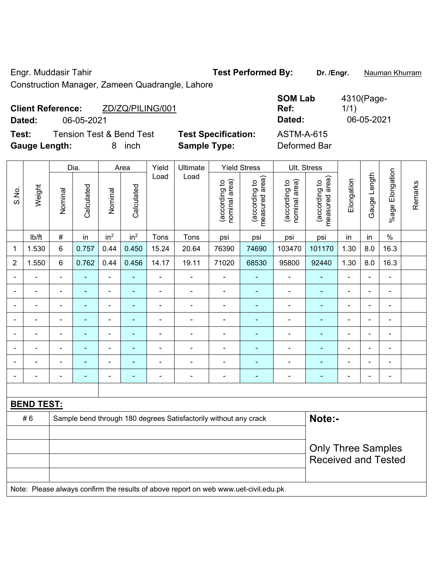Engr. Muddasir Tahir **Test Performed By:** Dr. /Engr. **Nauman Khurram** 

Construction Manager, Zameen Quadrangle, Lahore

| <b>Client Reference:</b> |            | ZD/ZQ/PILING/001         |                            | <b>SUMLAD</b><br>Ref: | 4J1U(4J)<br>1/1) |
|--------------------------|------------|--------------------------|----------------------------|-----------------------|------------------|
| Dated:                   | 06-05-2021 |                          |                            | Dated:                | 06-05-2021       |
| Test:                    |            | Tension Test & Bend Test | <b>Test Specification:</b> | ASTM-A-615            |                  |
| <b>Gauge Length:</b>     |            | inch                     | <b>Sample Type:</b>        | Deformed Bar          |                  |

|                |                   |                                                                                     | Dia.                     |                 | Area            | Yield          | Ultimate                                                         |                                | <b>Yield Stress</b>             |                                | Ult. Stress                     |                |                |                          |         |
|----------------|-------------------|-------------------------------------------------------------------------------------|--------------------------|-----------------|-----------------|----------------|------------------------------------------------------------------|--------------------------------|---------------------------------|--------------------------------|---------------------------------|----------------|----------------|--------------------------|---------|
| S.No.          | Weight            | Nominal                                                                             | Calculated               | Nominal         | Calculated      | Load           | Load                                                             | (according to<br>nominal area) | measured area)<br>(according to | nominal area)<br>(according to | measured area)<br>(according to | Elongation     | Gauge Length   | %age Elongation          | Remarks |
|                | Ib/ft             | $\#$                                                                                | in                       | in <sup>2</sup> | in <sup>2</sup> | Tons           | Tons                                                             | psi                            | psi                             | psi                            | psi                             | in             | in             | $\%$                     |         |
| 1              | 1.530             | $6\phantom{a}$                                                                      | 0.757                    | 0.44            | 0.450           | 15.24          | 20.64                                                            | 76390                          | 74690                           | 103470                         | 101170                          | 1.30           | 8.0            | 16.3                     |         |
| $\overline{2}$ | 1.550             | 6                                                                                   | 0.762                    | 0.44            | 0.456           | 14.17          | 19.11                                                            | 71020                          | 68530                           | 95800                          | 92440                           | 1.30           | 8.0            | 16.3                     |         |
| $\blacksquare$ | $\blacksquare$    | $\blacksquare$                                                                      | ÷,                       | $\overline{a}$  | $\blacksquare$  | ÷,             | $\blacksquare$                                                   | $\blacksquare$                 | $\blacksquare$                  | $\blacksquare$                 | ÷,                              | $\blacksquare$ | $\blacksquare$ | $\blacksquare$           |         |
|                | $\blacksquare$    | $\blacksquare$                                                                      | $\blacksquare$           | $\blacksquare$  | $\blacksquare$  | $\blacksquare$ | $\blacksquare$                                                   | $\blacksquare$                 | $\blacksquare$                  | $\blacksquare$                 | ÷,                              | $\blacksquare$ | L,             | $\blacksquare$           |         |
|                |                   |                                                                                     | $\blacksquare$           | ÷,              | ۰               |                | $\blacksquare$                                                   | $\blacksquare$                 | $\blacksquare$                  | $\blacksquare$                 | $\blacksquare$                  | $\blacksquare$ | L,             | $\blacksquare$           |         |
|                |                   |                                                                                     | $\blacksquare$           | ٠               |                 |                |                                                                  | $\blacksquare$                 | ۰                               | $\qquad \qquad \blacksquare$   | ۰                               |                | -              | $\blacksquare$           |         |
|                |                   | ä,                                                                                  | $\blacksquare$           | $\blacksquare$  | ٠               | Ē,             | ä,                                                               | $\blacksquare$                 | ۰                               | $\blacksquare$                 | ÷                               | $\blacksquare$ | L,             | $\blacksquare$           |         |
| $\blacksquare$ |                   | $\blacksquare$                                                                      | ٠                        | $\blacksquare$  | ä,              | ä,             | $\blacksquare$                                                   | $\blacksquare$                 | ÷                               | $\blacksquare$                 | ÷                               | $\blacksquare$ | $\blacksquare$ | $\blacksquare$           |         |
|                |                   |                                                                                     | $\overline{\phantom{0}}$ | ÷               |                 |                |                                                                  | $\blacksquare$                 | ÷                               | $\blacksquare$                 | ÷                               |                | $\overline{a}$ | $\overline{\phantom{a}}$ |         |
|                | Ē,                | $\blacksquare$                                                                      | $\blacksquare$           | $\blacksquare$  | $\blacksquare$  | $\blacksquare$ | $\blacksquare$                                                   | $\blacksquare$                 | $\blacksquare$                  | $\blacksquare$                 | $\blacksquare$                  | $\blacksquare$ | $\blacksquare$ | $\blacksquare$           |         |
|                |                   |                                                                                     |                          |                 |                 |                |                                                                  |                                |                                 |                                |                                 |                |                |                          |         |
|                | <b>BEND TEST:</b> |                                                                                     |                          |                 |                 |                |                                                                  |                                |                                 |                                |                                 |                |                |                          |         |
|                | #6                |                                                                                     |                          |                 |                 |                | Sample bend through 180 degrees Satisfactorily without any crack |                                |                                 |                                | Note:-                          |                |                |                          |         |
|                |                   |                                                                                     |                          |                 |                 |                |                                                                  |                                |                                 |                                |                                 |                |                |                          |         |
|                |                   |                                                                                     |                          |                 |                 |                |                                                                  |                                |                                 |                                | <b>Only Three Samples</b>       |                |                |                          |         |
|                |                   |                                                                                     |                          |                 |                 |                |                                                                  |                                |                                 |                                | <b>Received and Tested</b>      |                |                |                          |         |
|                |                   |                                                                                     |                          |                 |                 |                |                                                                  |                                |                                 |                                |                                 |                |                |                          |         |
|                |                   | Note: Please always confirm the results of above report on web www.uet-civil.edu.pk |                          |                 |                 |                |                                                                  |                                |                                 |                                |                                 |                |                |                          |         |

**SOM Lab**   $4310/D$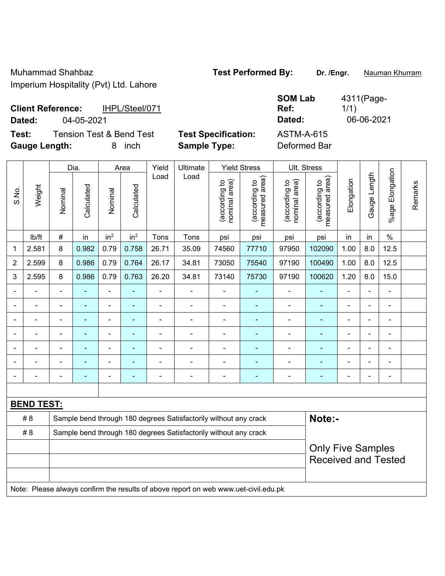Muhammad Shahbaz **Test Performed By: Dr. /Engr.** Nauman Khurram Imperium Hospitality (Pvt) Ltd. Lahore

|        | <b>Client Reference:</b><br>IHPL/Steel/071 |                            | <b>998 EUM</b><br>Ref: | 1/1)       |
|--------|--------------------------------------------|----------------------------|------------------------|------------|
| Dated: | 04-05-2021                                 |                            | Dated:                 | 06-06-2021 |
| Test:  | <b>Tension Test &amp; Bend Test</b>        | <b>Test Specification:</b> | ASTM-A-615             |            |

**SOM Lab Ref:**  4311(Page-1/1)

**Gauge Length:** 8 inch **Sample Type:** Deformed Bar

|                |                                                                                     | Dia.<br>Area                                                     |                | Yield           | Ultimate        | <b>Yield Stress</b> |                                                                  |                                | Ult. Stress                     |                                |                                 |                |                |                           |         |
|----------------|-------------------------------------------------------------------------------------|------------------------------------------------------------------|----------------|-----------------|-----------------|---------------------|------------------------------------------------------------------|--------------------------------|---------------------------------|--------------------------------|---------------------------------|----------------|----------------|---------------------------|---------|
| S.No.          | Weight                                                                              | Nominal                                                          | Calculated     | Nominal         | Calculated      | Load                | Load                                                             | nominal area)<br>(according to | measured area)<br>(according to | nominal area)<br>(according to | measured area)<br>(according to | Elongation     | Gauge Length   | Elongation<br>$%$ age $ $ | Remarks |
|                | lb/ft                                                                               | $\#$                                                             | in             | in <sup>2</sup> | in <sup>2</sup> | Tons                | Tons                                                             | psi                            | psi                             | psi                            | psi                             | in             | in             | $\%$                      |         |
| 1              | 2.581                                                                               | 8                                                                | 0.982          | 0.79            | 0.758           | 26.71               | 35.09                                                            | 74560                          | 77710                           | 97950                          | 102090                          | 1.00           | 8.0            | 12.5                      |         |
| $\overline{2}$ | 2.599                                                                               | 8                                                                | 0.986          | 0.79            | 0.764           | 26.17               | 34.81                                                            | 73050                          | 75540                           | 97190                          | 100490                          | 1.00           | 8.0            | 12.5                      |         |
| 3              | 2.595                                                                               | 8                                                                | 0.986          | 0.79            | 0.763           | 26.20               | 34.81                                                            | 73140                          | 75730                           | 97190                          | 100620                          | 1.20           | 8.0            | 15.0                      |         |
|                |                                                                                     | $\blacksquare$                                                   |                | $\blacksquare$  |                 |                     |                                                                  |                                |                                 |                                |                                 |                |                | $\blacksquare$            |         |
|                |                                                                                     | $\blacksquare$                                                   |                | $\blacksquare$  | ۰               |                     | $\blacksquare$                                                   | $\overline{\phantom{a}}$       | $\overline{\phantom{0}}$        | $\blacksquare$                 | ÷                               | $\blacksquare$ | $\blacksquare$ | $\blacksquare$            |         |
|                |                                                                                     | $\blacksquare$                                                   | $\overline{a}$ | $\blacksquare$  | ۰               |                     | $\blacksquare$                                                   | $\blacksquare$                 | $\overline{\phantom{0}}$        | $\blacksquare$                 | $\blacksquare$                  | $\blacksquare$ |                | $\blacksquare$            |         |
|                |                                                                                     | $\blacksquare$                                                   | ۰              | $\blacksquare$  | ۰               |                     | ÷                                                                | $\blacksquare$                 | $\blacksquare$                  | ä,                             | $\blacksquare$                  | $\blacksquare$ |                | $\blacksquare$            |         |
|                |                                                                                     | $\blacksquare$                                                   |                | ä,              |                 |                     |                                                                  | $\blacksquare$                 |                                 | ÷                              | ÷                               |                |                | Ē,                        |         |
|                |                                                                                     |                                                                  |                | ä,              |                 |                     |                                                                  | $\blacksquare$                 |                                 |                                |                                 |                |                |                           |         |
|                |                                                                                     | $\blacksquare$                                                   |                | $\blacksquare$  | ÷               |                     | $\blacksquare$                                                   | $\overline{\phantom{a}}$       | $\overline{\phantom{0}}$        | ÷                              | ÷                               | $\blacksquare$ |                | $\blacksquare$            |         |
|                |                                                                                     |                                                                  |                |                 |                 |                     |                                                                  |                                |                                 |                                |                                 |                |                |                           |         |
|                | <b>BEND TEST:</b>                                                                   |                                                                  |                |                 |                 |                     |                                                                  |                                |                                 |                                |                                 |                |                |                           |         |
|                | # 8                                                                                 |                                                                  |                |                 |                 |                     | Sample bend through 180 degrees Satisfactorily without any crack |                                |                                 |                                | Note:-                          |                |                |                           |         |
|                | # 8                                                                                 | Sample bend through 180 degrees Satisfactorily without any crack |                |                 |                 |                     |                                                                  |                                |                                 |                                |                                 |                |                |                           |         |
|                |                                                                                     |                                                                  |                |                 |                 |                     |                                                                  |                                |                                 |                                | <b>Only Five Samples</b>        |                |                |                           |         |
|                |                                                                                     |                                                                  |                |                 |                 |                     |                                                                  |                                |                                 |                                | <b>Received and Tested</b>      |                |                |                           |         |
|                |                                                                                     |                                                                  |                |                 |                 |                     |                                                                  |                                |                                 |                                |                                 |                |                |                           |         |
|                | Note: Please always confirm the results of above report on web www.uet-civil.edu.pk |                                                                  |                |                 |                 |                     |                                                                  |                                |                                 |                                |                                 |                |                |                           |         |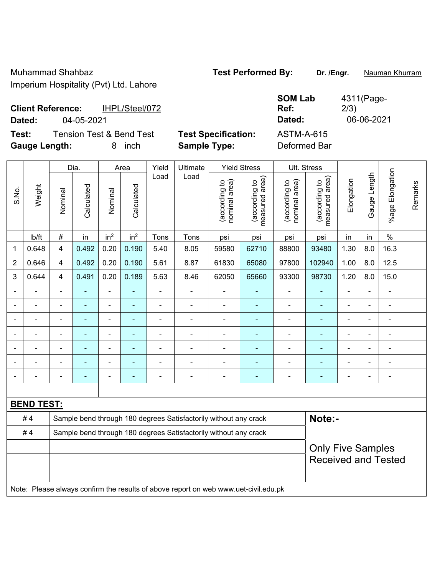Muhammad Shahbaz **Test Performed By: Dr. /Engr.** Nauman Khurram

Imperium Hospitality (Pvt) Ltd. Lahore

| <b>Client Reference:</b> | IHPL/Steel/072           |                            | <b>SOM Lab</b><br>Ref: | 4311(Page-<br>2/3) |
|--------------------------|--------------------------|----------------------------|------------------------|--------------------|
| Dated:                   | 04-05-2021               |                            | Dated:                 | 06-06-2021         |
| Test:                    | Tension Test & Bend Test | <b>Test Specification:</b> | ASTM-A-615             |                    |

Gauge Length

%age Elongation

%age Elongation

|                | <b>Gauge Length:</b> |         |            | 8               | inch            |      | <b>Sample Type:</b> | Deformed Bar                        |                                      |                                         |                                      |  |
|----------------|----------------------|---------|------------|-----------------|-----------------|------|---------------------|-------------------------------------|--------------------------------------|-----------------------------------------|--------------------------------------|--|
|                | Weight               |         | Dia.       |                 | Area            |      | Ultimate            |                                     | <b>Yield Stress</b>                  | Ult. Stress                             |                                      |  |
| S.No.          |                      | Nominal | Calculated | Nominal         | Calculated      | Load | Load                | area)<br>đ<br>(according<br>nominal | area)<br>đ<br>(according<br>measured | area)<br>đ<br>(according<br>nominal are | area)<br>육<br>(according<br>measured |  |
|                | lb/ft                | #       | in         | in <sup>2</sup> | in <sup>2</sup> | Tons | Tons                | psi                                 | psi                                  | psi                                     | psi                                  |  |
| 1              | 0.648                | 4       | 0.492      | 0.20            | 0.190           | 5.40 | 8.05                | 59580                               | 62710                                | 88800                                   | 93480                                |  |
| $\overline{2}$ | 0.646                | 4       | 0.492      | 0.20            | 0.190           | 5.61 | 8.87                | 61830                               | 65080                                | 97800                                   | 102940                               |  |
| $\mathcal{R}$  | 0.644                | Δ       | 0.491      | 0.20 L          | 0.189           | 5.63 | 8.46                | 62050                               | 65660                                | 93300                                   | 98730                                |  |

| S.No.          | Weight                                                                              | Nominal                                                          | Calculated     | Nominal                  | Calculated      | Load           | Load                                                             | nominal area)<br>(according to | measured area)<br>(according to | nominal area)<br>(according to | measured area)<br>(according to | Elongation               | Gauge Length   | %age Elongatio           | Remarks |
|----------------|-------------------------------------------------------------------------------------|------------------------------------------------------------------|----------------|--------------------------|-----------------|----------------|------------------------------------------------------------------|--------------------------------|---------------------------------|--------------------------------|---------------------------------|--------------------------|----------------|--------------------------|---------|
|                | lb/ft                                                                               | $\#$                                                             | in             | in <sup>2</sup>          | in <sup>2</sup> | Tons           | Tons                                                             | psi                            | psi                             | psi                            | psi                             | in                       | in             | $\%$                     |         |
| 1              | 0.648                                                                               | 4                                                                | 0.492          | 0.20                     | 0.190           | 5.40           | 8.05                                                             | 59580                          | 62710                           | 88800                          | 93480                           | 1.30                     | 8.0            | 16.3                     |         |
| $\overline{2}$ | 0.646                                                                               | 4                                                                | 0.492          | 0.20                     | 0.190           | 5.61           | 8.87                                                             | 61830                          | 65080                           | 97800                          | 102940                          | 1.00                     | 8.0            | 12.5                     |         |
| 3              | 0.644                                                                               | 4                                                                | 0.491          | 0.20                     | 0.189           | 5.63           | 8.46                                                             | 62050                          | 65660                           | 93300                          | 98730                           | 1.20                     | 8.0            | 15.0                     |         |
|                |                                                                                     | Ē,                                                               | ä,             | ÷,                       | ۰               | Ē,             | $\overline{\phantom{0}}$                                         | $\blacksquare$                 | ۰                               | ÷                              | $\blacksquare$                  | ÷,                       | $\blacksquare$ | $\blacksquare$           |         |
|                | $\blacksquare$                                                                      | $\blacksquare$                                                   | ÷,             | $\blacksquare$           | ÷,              | Ē,             | Ē,                                                               | $\overline{\phantom{a}}$       | ۰                               | ۰                              | $\blacksquare$                  | $\overline{\phantom{a}}$ | $\blacksquare$ | $\blacksquare$           |         |
|                |                                                                                     | $\overline{\phantom{0}}$                                         | -              | -                        | ÷               | Ē,             | ÷                                                                | $\blacksquare$                 | ÷                               | -                              | $\blacksquare$                  | -                        | $\blacksquare$ | $\overline{\phantom{0}}$ |         |
|                |                                                                                     |                                                                  |                | Ē,                       |                 |                |                                                                  | $\blacksquare$                 | Ē.                              |                                | ٠                               | ÷                        | $\blacksquare$ | $\overline{a}$           |         |
| $\blacksquare$ |                                                                                     | $\overline{\phantom{a}}$                                         | $\blacksquare$ | ÷                        | ۰               | $\blacksquare$ | $\overline{\phantom{0}}$                                         | $\blacksquare$                 | ۰                               | ۳                              | $\overline{\phantom{a}}$        | $\blacksquare$           | $\blacksquare$ | $\blacksquare$           |         |
|                |                                                                                     | $\blacksquare$                                                   | ÷,             | $\blacksquare$           | ÷               | Ē,             | $\overline{\phantom{0}}$                                         | $\blacksquare$                 | ۰                               | ä,                             | ٠                               | ÷,                       | $\blacksquare$ | $\overline{a}$           |         |
|                |                                                                                     |                                                                  |                | $\overline{\phantom{0}}$ | $\blacksquare$  | $\blacksquare$ | ÷                                                                | ä,                             | $\blacksquare$                  | ÷                              | $\blacksquare$                  | $\blacksquare$           | $\blacksquare$ |                          |         |
|                |                                                                                     |                                                                  |                |                          |                 |                |                                                                  |                                |                                 |                                |                                 |                          |                |                          |         |
|                | <b>BEND TEST:</b>                                                                   |                                                                  |                |                          |                 |                |                                                                  |                                |                                 |                                |                                 |                          |                |                          |         |
|                | #4                                                                                  |                                                                  |                |                          |                 |                | Sample bend through 180 degrees Satisfactorily without any crack |                                |                                 |                                | Note:-                          |                          |                |                          |         |
|                | #4                                                                                  | Sample bend through 180 degrees Satisfactorily without any crack |                |                          |                 |                |                                                                  |                                |                                 |                                |                                 |                          |                |                          |         |
|                |                                                                                     |                                                                  |                |                          |                 |                |                                                                  |                                |                                 |                                | <b>Only Five Samples</b>        |                          |                |                          |         |
|                |                                                                                     |                                                                  |                |                          |                 |                |                                                                  |                                |                                 |                                | <b>Received and Tested</b>      |                          |                |                          |         |
|                |                                                                                     |                                                                  |                |                          |                 |                |                                                                  |                                |                                 |                                |                                 |                          |                |                          |         |
|                | Note: Please always confirm the results of above report on web www.uet-civil.edu.pk |                                                                  |                |                          |                 |                |                                                                  |                                |                                 |                                |                                 |                          |                |                          |         |